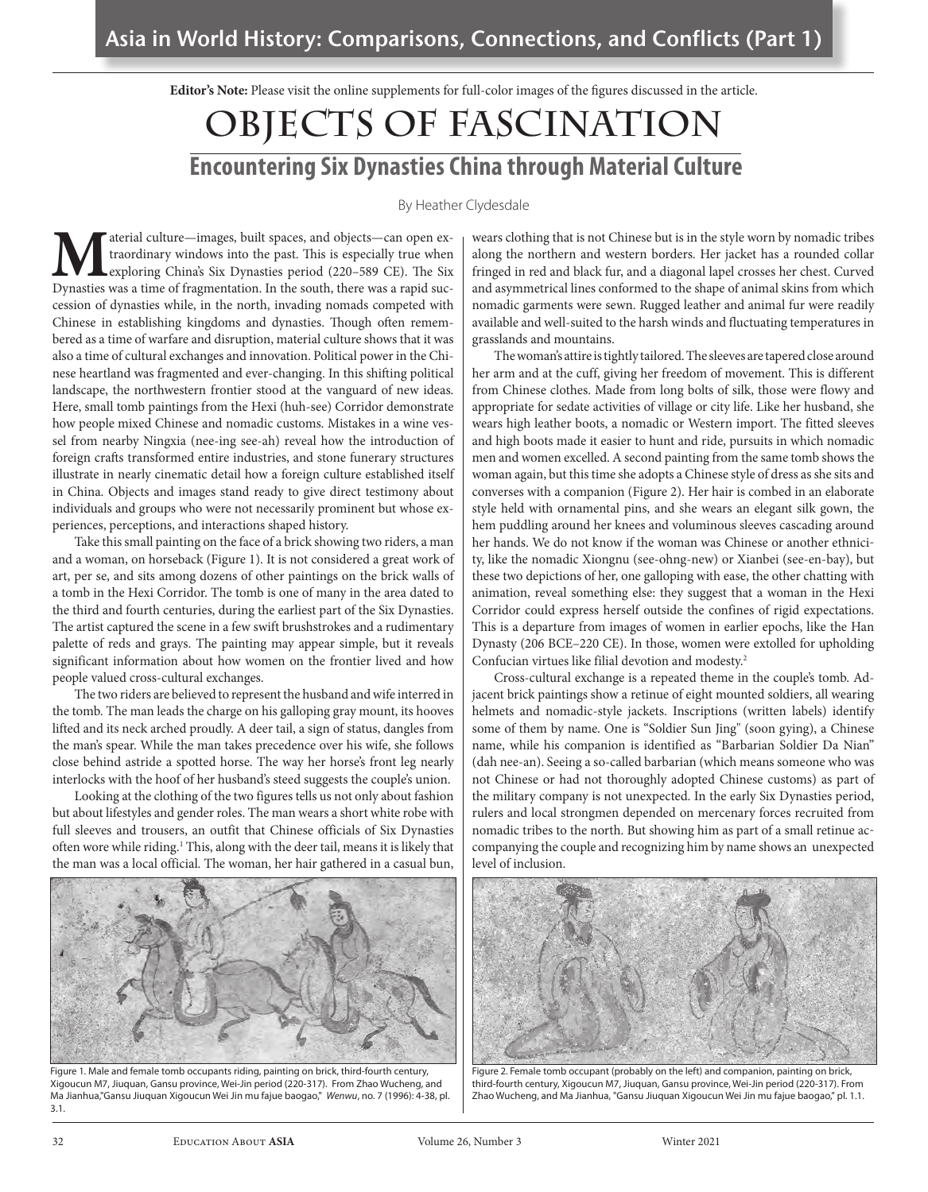**Editor's Note:** Please visit the online supplements for full-color images of the figures discussed in the article.

# **Objects of Fascination Encountering Six Dynasties China through Material Culture**

By Heather Clydesdale

**M**aterial culture—images, built spaces, and objects—can open extraordinary windows into the past. This is especially true when Dynasties was a time of fragmentation. In the south, there was a rapid suctraordinary windows into the past. This is especially true when exploring China's Six Dynasties period (220–589 CE). The Six cession of dynasties while, in the north, invading nomads competed with Chinese in establishing kingdoms and dynasties. Though often remembered as a time of warfare and disruption, material culture shows that it was also a time of cultural exchanges and innovation. Political power in the Chinese heartland was fragmented and ever-changing. In this shifting political landscape, the northwestern frontier stood at the vanguard of new ideas. Here, small tomb paintings from the Hexi (huh-see) Corridor demonstrate how people mixed Chinese and nomadic customs. Mistakes in a wine vessel from nearby Ningxia (nee-ing see-ah) reveal how the introduction of foreign crafts transformed entire industries, and stone funerary structures illustrate in nearly cinematic detail how a foreign culture established itself in China. Objects and images stand ready to give direct testimony about individuals and groups who were not necessarily prominent but whose experiences, perceptions, and interactions shaped history.

Take this small painting on the face of a brick showing two riders, a man and a woman, on horseback (Figure 1). It is not considered a great work of art, per se, and sits among dozens of other paintings on the brick walls of a tomb in the Hexi Corridor. The tomb is one of many in the area dated to the third and fourth centuries, during the earliest part of the Six Dynasties. The artist captured the scene in a few swift brushstrokes and a rudimentary palette of reds and grays. The painting may appear simple, but it reveals significant information about how women on the frontier lived and how people valued cross-cultural exchanges.

The two riders are believed to represent the husband and wife interred in the tomb. The man leads the charge on his galloping gray mount, its hooves lifted and its neck arched proudly. A deer tail, a sign of status, dangles from the man's spear. While the man takes precedence over his wife, she follows close behind astride a spotted horse. The way her horse's front leg nearly interlocks with the hoof of her husband's steed suggests the couple's union.

Looking at the clothing of the two figures tells us not only about fashion but about lifestyles and gender roles. The man wears a short white robe with full sleeves and trousers, an outfit that Chinese officials of Six Dynasties often wore while riding.<sup>1</sup> This, along with the deer tail, means it is likely that the man was a local official. The woman, her hair gathered in a casual bun,



Figure 1. Male and female tomb occupants riding, painting on brick, third-fourth century, Xigoucun M7, Jiuquan, Gansu province, Wei-Jin period (220-317). From Zhao Wucheng, and Ma Jianhua,"Gansu Jiuquan Xigoucun Wei Jin mu fajue baogao," *Wenwu*, no. 7 (1996): 4-38, pl. 3.1.

wears clothing that is not Chinese but is in the style worn by nomadic tribes along the northern and western borders. Her jacket has a rounded collar fringed in red and black fur, and a diagonal lapel crosses her chest. Curved and asymmetrical lines conformed to the shape of animal skins from which nomadic garments were sewn. Rugged leather and animal fur were readily available and well-suited to the harsh winds and fluctuating temperatures in grasslands and mountains.

The woman's attire is tightly tailored. The sleeves are tapered close around her arm and at the cuff, giving her freedom of movement. This is different from Chinese clothes. Made from long bolts of silk, those were flowy and appropriate for sedate activities of village or city life. Like her husband, she wears high leather boots, a nomadic or Western import. The fitted sleeves and high boots made it easier to hunt and ride, pursuits in which nomadic men and women excelled. A second painting from the same tomb shows the woman again, but this time she adopts a Chinese style of dress as she sits and converses with a companion (Figure 2). Her hair is combed in an elaborate style held with ornamental pins, and she wears an elegant silk gown, the hem puddling around her knees and voluminous sleeves cascading around her hands. We do not know if the woman was Chinese or another ethnicity, like the nomadic Xiongnu (see-ohng-new) or Xianbei (see-en-bay), but these two depictions of her, one galloping with ease, the other chatting with animation, reveal something else: they suggest that a woman in the Hexi Corridor could express herself outside the confines of rigid expectations. This is a departure from images of women in earlier epochs, like the Han Dynasty (206 BCE–220 CE). In those, women were extolled for upholding Confucian virtues like filial devotion and modesty.2

Cross-cultural exchange is a repeated theme in the couple's tomb. Adjacent brick paintings show a retinue of eight mounted soldiers, all wearing helmets and nomadic-style jackets. Inscriptions (written labels) identify some of them by name. One is "Soldier Sun Jing" (soon gying), a Chinese name, while his companion is identified as "Barbarian Soldier Da Nian" (dah nee-an). Seeing a so-called barbarian (which means someone who was not Chinese or had not thoroughly adopted Chinese customs) as part of the military company is not unexpected. In the early Six Dynasties period, rulers and local strongmen depended on mercenary forces recruited from nomadic tribes to the north. But showing him as part of a small retinue accompanying the couple and recognizing him by name shows an unexpected level of inclusion.



Figure 2. Female tomb occupant (probably on the left) and companion, painting on brick, third-fourth century, Xigoucun M7, Jiuquan, Gansu province, Wei-Jin period (220-317). From Zhao Wucheng, and Ma Jianhua, "Gansu Jiuquan Xigoucun Wei Jin mu fajue baogao," pl. 1.1.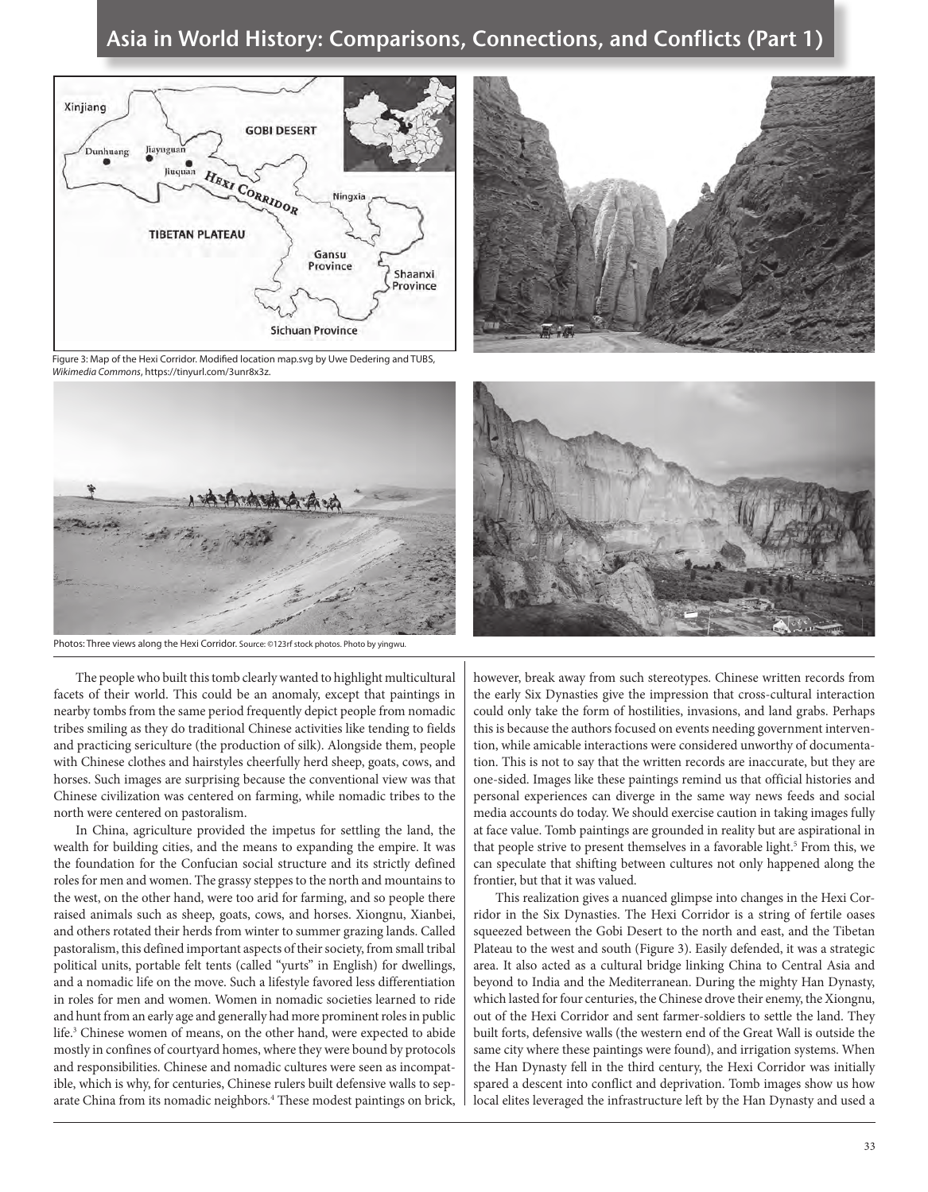



Figure 3: Map of the Hexi Corridor. Modified location map.svg by Uwe Dedering and TUBS, *Wikimedia Commons*, https://tinyurl.com/3unr8x3z.





The people who built this tomb clearly wanted to highlight multicultural facets of their world. This could be an anomaly, except that paintings in nearby tombs from the same period frequently depict people from nomadic tribes smiling as they do traditional Chinese activities like tending to fields and practicing sericulture (the production of silk). Alongside them, people with Chinese clothes and hairstyles cheerfully herd sheep, goats, cows, and horses. Such images are surprising because the conventional view was that Chinese civilization was centered on farming, while nomadic tribes to the north were centered on pastoralism.

In China, agriculture provided the impetus for settling the land, the wealth for building cities, and the means to expanding the empire. It was the foundation for the Confucian social structure and its strictly defined roles for men and women. The grassy steppes to the north and mountains to the west, on the other hand, were too arid for farming, and so people there raised animals such as sheep, goats, cows, and horses. Xiongnu, Xianbei, and others rotated their herds from winter to summer grazing lands. Called pastoralism, this defined important aspects of their society, from small tribal political units, portable felt tents (called "yurts" in English) for dwellings, and a nomadic life on the move. Such a lifestyle favored less differentiation in roles for men and women. Women in nomadic societies learned to ride and hunt from an early age and generally had more prominent roles in public life.3 Chinese women of means, on the other hand, were expected to abide mostly in confines of courtyard homes, where they were bound by protocols and responsibilities. Chinese and nomadic cultures were seen as incompatible, which is why, for centuries, Chinese rulers built defensive walls to separate China from its nomadic neighbors.<sup>4</sup> These modest paintings on brick, however, break away from such stereotypes. Chinese written records from the early Six Dynasties give the impression that cross-cultural interaction could only take the form of hostilities, invasions, and land grabs. Perhaps this is because the authors focused on events needing government intervention, while amicable interactions were considered unworthy of documentation. This is not to say that the written records are inaccurate, but they are one-sided. Images like these paintings remind us that official histories and personal experiences can diverge in the same way news feeds and social media accounts do today. We should exercise caution in taking images fully at face value. Tomb paintings are grounded in reality but are aspirational in that people strive to present themselves in a favorable light.<sup>5</sup> From this, we can speculate that shifting between cultures not only happened along the frontier, but that it was valued.

This realization gives a nuanced glimpse into changes in the Hexi Corridor in the Six Dynasties. The Hexi Corridor is a string of fertile oases squeezed between the Gobi Desert to the north and east, and the Tibetan Plateau to the west and south (Figure 3). Easily defended, it was a strategic area. It also acted as a cultural bridge linking China to Central Asia and beyond to India and the Mediterranean. During the mighty Han Dynasty, which lasted for four centuries, the Chinese drove their enemy, the Xiongnu, out of the Hexi Corridor and sent farmer-soldiers to settle the land. They built forts, defensive walls (the western end of the Great Wall is outside the same city where these paintings were found), and irrigation systems. When the Han Dynasty fell in the third century, the Hexi Corridor was initially spared a descent into conflict and deprivation. Tomb images show us how local elites leveraged the infrastructure left by the Han Dynasty and used a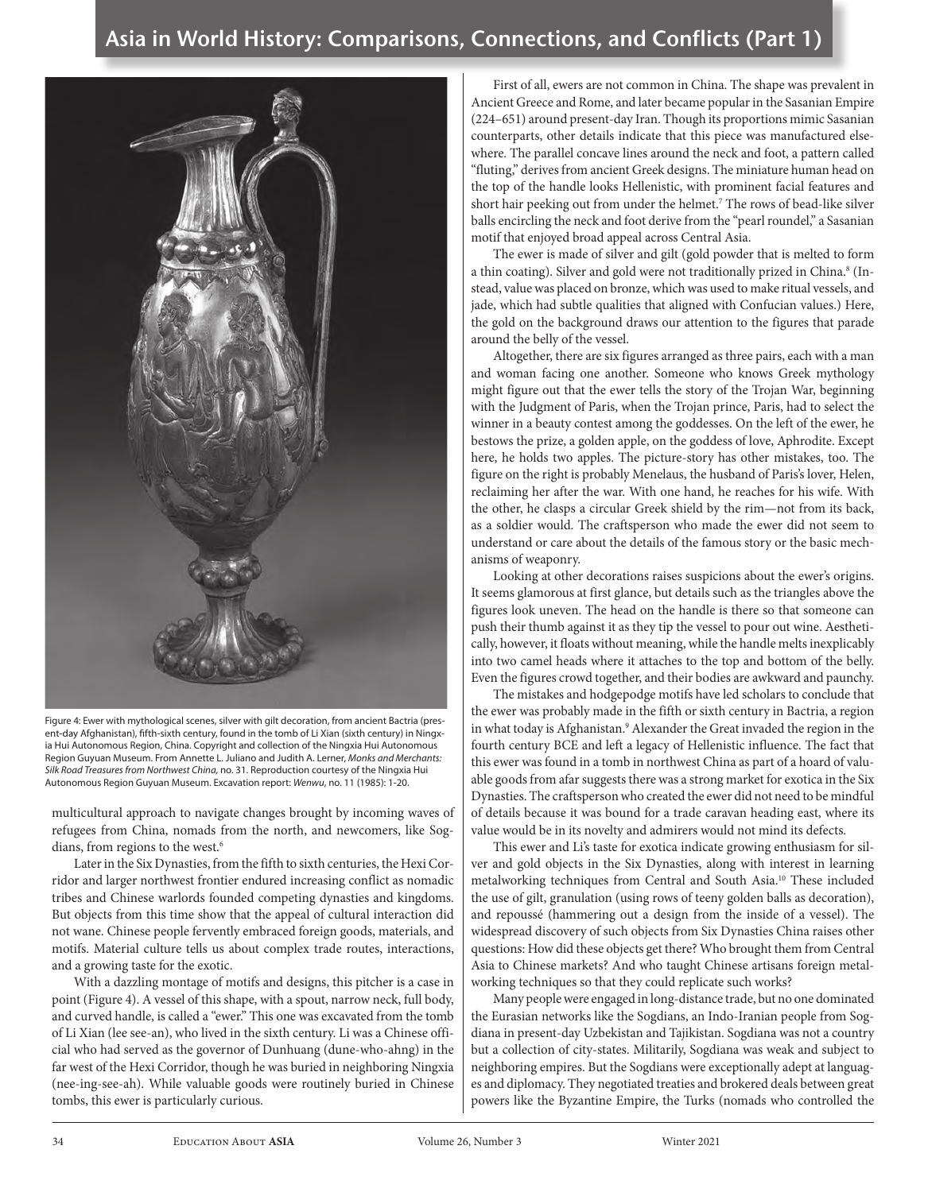

Figure 4: Ewer with mythological scenes, silver with gilt decoration, from ancient Bactria (present-day Afghanistan), fifth-sixth century, found in the tomb of Li Xian (sixth century) in Ningxia Hui Autonomous Region, China. Copyright and collection of the Ningxia Hui Autonomous Region Guyuan Museum. From Annette L. Juliano and Judith A. Lerner, *Monks and Merchants: Silk Road Treasures from Northwest China,* no. 31. Reproduction courtesy of the Ningxia Hui Autonomous Region Guyuan Museum. Excavation report: *Wenwu*, no. 11 (1985): 1-20.

multicultural approach to navigate changes brought by incoming waves of refugees from China, nomads from the north, and newcomers, like Sogdians, from regions to the west.<sup>6</sup>

Later in the Six Dynasties, from the fifth to sixth centuries, the Hexi Corridor and larger northwest frontier endured increasing conflict as nomadic tribes and Chinese warlords founded competing dynasties and kingdoms. But objects from this time show that the appeal of cultural interaction did not wane. Chinese people fervently embraced foreign goods, materials, and motifs. Material culture tells us about complex trade routes, interactions, and a growing taste for the exotic.

With a dazzling montage of motifs and designs, this pitcher is a case in point (Figure 4). A vessel of this shape, with a spout, narrow neck, full body, and curved handle, is called a "ewer." This one was excavated from the tomb of Li Xian (lee see-an), who lived in the sixth century. Li was a Chinese official who had served as the governor of Dunhuang (dune-who-ahng) in the far west of the Hexi Corridor, though he was buried in neighboring Ningxia (nee-ing-see-ah). While valuable goods were routinely buried in Chinese tombs, this ewer is particularly curious.

First of all, ewers are not common in China. The shape was prevalent in Ancient Greece and Rome, and later became popular in the Sasanian Empire (224–651) around present-day Iran. Though its proportions mimic Sasanian counterparts, other details indicate that this piece was manufactured elsewhere. The parallel concave lines around the neck and foot, a pattern called "fluting," derives from ancient Greek designs. The miniature human head on the top of the handle looks Hellenistic, with prominent facial features and short hair peeking out from under the helmet.7 The rows of bead-like silver balls encircling the neck and foot derive from the "pearl roundel," a Sasanian motif that enjoyed broad appeal across Central Asia.

The ewer is made of silver and gilt (gold powder that is melted to form a thin coating). Silver and gold were not traditionally prized in China.8 (Instead, value was placed on bronze, which was used to make ritual vessels, and jade, which had subtle qualities that aligned with Confucian values.) Here, the gold on the background draws our attention to the figures that parade around the belly of the vessel.

Altogether, there are six figures arranged as three pairs, each with a man and woman facing one another. Someone who knows Greek mythology might figure out that the ewer tells the story of the Trojan War, beginning with the Judgment of Paris, when the Trojan prince, Paris, had to select the winner in a beauty contest among the goddesses. On the left of the ewer, he bestows the prize, a golden apple, on the goddess of love, Aphrodite. Except here, he holds two apples. The picture-story has other mistakes, too. The figure on the right is probably Menelaus, the husband of Paris's lover, Helen, reclaiming her after the war. With one hand, he reaches for his wife. With the other, he clasps a circular Greek shield by the rim—not from its back, as a soldier would. The craftsperson who made the ewer did not seem to understand or care about the details of the famous story or the basic mechanisms of weaponry.

Looking at other decorations raises suspicions about the ewer's origins. It seems glamorous at first glance, but details such as the triangles above the figures look uneven. The head on the handle is there so that someone can push their thumb against it as they tip the vessel to pour out wine. Aesthetically, however, it floats without meaning, while the handle melts inexplicably into two camel heads where it attaches to the top and bottom of the belly. Even the figures crowd together, and their bodies are awkward and paunchy.

The mistakes and hodgepodge motifs have led scholars to conclude that the ewer was probably made in the fifth or sixth century in Bactria, a region in what today is Afghanistan.9 Alexander the Great invaded the region in the fourth century BCE and left a legacy of Hellenistic influence. The fact that this ewer was found in a tomb in northwest China as part of a hoard of valuable goods from afar suggests there was a strong market for exotica in the Six Dynasties. The craftsperson who created the ewer did not need to be mindful of details because it was bound for a trade caravan heading east, where its value would be in its novelty and admirers would not mind its defects.

This ewer and Li's taste for exotica indicate growing enthusiasm for silver and gold objects in the Six Dynasties, along with interest in learning metalworking techniques from Central and South Asia.10 These included the use of gilt, granulation (using rows of teeny golden balls as decoration), and repoussé (hammering out a design from the inside of a vessel). The widespread discovery of such objects from Six Dynasties China raises other questions: How did these objects get there? Who brought them from Central Asia to Chinese markets? And who taught Chinese artisans foreign metalworking techniques so that they could replicate such works?

Many people were engaged in long-distance trade, but no one dominated the Eurasian networks like the Sogdians, an Indo-Iranian people from Sogdiana in present-day Uzbekistan and Tajikistan. Sogdiana was not a country but a collection of city-states. Militarily, Sogdiana was weak and subject to neighboring empires. But the Sogdians were exceptionally adept at languages and diplomacy. They negotiated treaties and brokered deals between great powers like the Byzantine Empire, the Turks (nomads who controlled the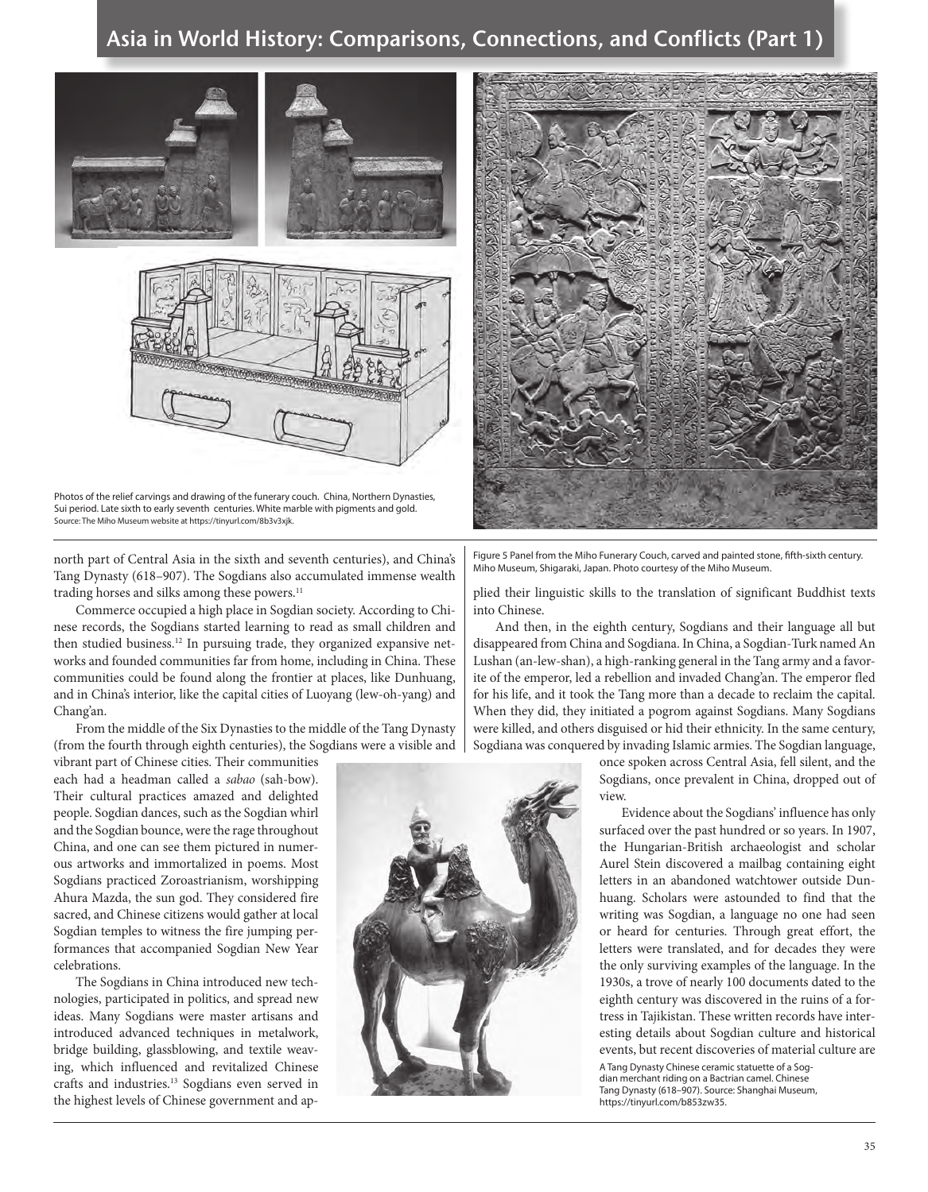

Photos of the relief carvings and drawing of the funerary couch. China, Northern Dynasties, Sui period. Late sixth to early seventh centuries. White marble with pigments and gold. Source: The Miho Museum website at https://tinyurl.com/8b3v3xjk.

north part of Central Asia in the sixth and seventh centuries), and China's Tang Dynasty (618–907). The Sogdians also accumulated immense wealth trading horses and silks among these powers.<sup>11</sup>

Commerce occupied a high place in Sogdian society. According to Chinese records, the Sogdians started learning to read as small children and then studied business.<sup>12</sup> In pursuing trade, they organized expansive networks and founded communities far from home, including in China. These communities could be found along the frontier at places, like Dunhuang, and in China's interior, like the capital cities of Luoyang (lew-oh-yang) and Chang'an.

From the middle of the Six Dynasties to the middle of the Tang Dynasty (from the fourth through eighth centuries), the Sogdians were a visible and

vibrant part of Chinese cities. Their communities each had a headman called a *sabao* (sah-bow). Their cultural practices amazed and delighted people. Sogdian dances, such as the Sogdian whirl and the Sogdian bounce, were the rage throughout China, and one can see them pictured in numerous artworks and immortalized in poems. Most Sogdians practiced Zoroastrianism, worshipping Ahura Mazda, the sun god. They considered fire sacred, and Chinese citizens would gather at local Sogdian temples to witness the fire jumping performances that accompanied Sogdian New Year celebrations.

The Sogdians in China introduced new technologies, participated in politics, and spread new ideas. Many Sogdians were master artisans and introduced advanced techniques in metalwork, bridge building, glassblowing, and textile weaving, which influenced and revitalized Chinese crafts and industries.13 Sogdians even served in the highest levels of Chinese government and ap-



Figure 5 Panel from the Miho Funerary Couch, carved and painted stone, fifth-sixth century. Miho Museum, Shigaraki, Japan. Photo courtesy of the Miho Museum.

plied their linguistic skills to the translation of significant Buddhist texts into Chinese.

And then, in the eighth century, Sogdians and their language all but disappeared from China and Sogdiana. In China, a Sogdian-Turk named An Lushan (an-lew-shan), a high-ranking general in the Tang army and a favorite of the emperor, led a rebellion and invaded Chang'an. The emperor fled for his life, and it took the Tang more than a decade to reclaim the capital. When they did, they initiated a pogrom against Sogdians. Many Sogdians were killed, and others disguised or hid their ethnicity. In the same century, Sogdiana was conquered by invading Islamic armies. The Sogdian language,

> once spoken across Central Asia, fell silent, and the Sogdians, once prevalent in China, dropped out of view.

> Evidence about the Sogdians' influence has only surfaced over the past hundred or so years. In 1907, the Hungarian-British archaeologist and scholar Aurel Stein discovered a mailbag containing eight letters in an abandoned watchtower outside Dunhuang. Scholars were astounded to find that the writing was Sogdian, a language no one had seen or heard for centuries. Through great effort, the letters were translated, and for decades they were the only surviving examples of the language. In the 1930s, a trove of nearly 100 documents dated to the eighth century was discovered in the ruins of a fortress in Tajikistan. These written records have interesting details about Sogdian culture and historical events, but recent discoveries of material culture are

A Tang Dynasty Chinese ceramic statuette of a Sogdian merchant riding on a Bactrian camel. Chinese Tang Dynasty (618–907). Source: Shanghai Museum, https://tinyurl.com/b853zw35.